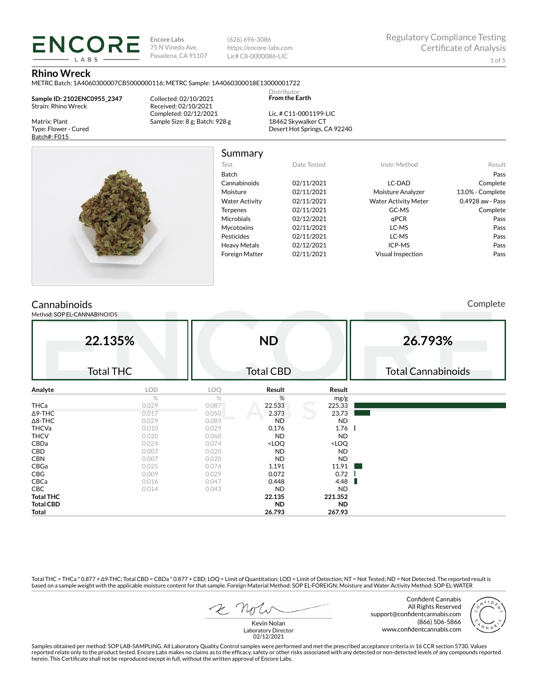**Encore Labs** 75 N Vinedo Ave. Pasadena, CA 91107 (626) 696-3086 https://encore-labs.com Lic# C8-0000086-LIC

#### **Rhino Wreck**

METRC Batch: 1A4060300007CB5000000116; METRC Sample: 1A4060300018E13000001722

**Sample ID: 2102ENC0955\_2347** Strain: Rhino Wreck

**ENCORE IARS** 

Matrix: Plant Type: Flower - Cured Batch#: F015

Collected: 02/10/2021 Received: 02/10/2021 Completed: 02/12/2021 Sample Size: 8 g; Batch: 928 g

Lic. # C11-0001199-LIC 18462 Skywalker CT Desert Hot Springs, CA 92240

Distributor **From the Earth**



# Summary

| Test                  | Date Tested | Instr. Method               | Result           |
|-----------------------|-------------|-----------------------------|------------------|
| <b>Batch</b>          |             |                             | Pass             |
| Cannabinoids          | 02/11/2021  | LC-DAD                      | Complete         |
| Moisture              | 02/11/2021  | Moisture Analyzer           | 13.0% - Complete |
| <b>Water Activity</b> | 02/11/2021  | <b>Water Activity Meter</b> | 0.4928 aw - Pass |
| <b>Terpenes</b>       | 02/11/2021  | GC-MS                       | Complete         |
| <b>Microbials</b>     | 02/12/2021  | qPCR                        | Pass             |
| <b>Mycotoxins</b>     | 02/11/2021  | LC-MS                       | Pass             |
| Pesticides            | 02/11/2021  | LC-MS                       | Pass             |
| <b>Heavy Metals</b>   | 02/12/2021  | ICP-MS                      | Pass             |
| <b>Foreign Matter</b> | 02/11/2021  | <b>Visual Inspection</b>    | Pass             |
|                       |             |                             |                  |

# **Cannabinoids**

Method: SOP EL-CANNABINOIDS

Complete

| 22.135%          |                  |       | <b>ND</b>                                                |                              | 26.793%                   |  |  |
|------------------|------------------|-------|----------------------------------------------------------|------------------------------|---------------------------|--|--|
|                  | <b>Total THC</b> |       | <b>Total CBD</b>                                         |                              | <b>Total Cannabinoids</b> |  |  |
| Analyte          | LOD              | LOQ   | Result                                                   | Result                       |                           |  |  |
|                  | $\%$             | %     | %                                                        | mg/g                         |                           |  |  |
| <b>THCa</b>      | 0.029            | 0.087 | 22.533                                                   | 225.33                       |                           |  |  |
| $\Delta$ 9-THC   | 0.017            | 0.050 | 2.373                                                    | 23.73                        |                           |  |  |
| $\Delta$ 8-THC   | 0.029            | 0.089 | <b>ND</b>                                                | <b>ND</b>                    |                           |  |  |
| <b>THCVa</b>     | 0.010            | 0.029 | 0.176                                                    | 1.76                         |                           |  |  |
| <b>THCV</b>      | 0.020            | 0.060 | <b>ND</b>                                                | <b>ND</b>                    |                           |  |  |
| CBDa             | 0.024            | 0.074 | <loq< td=""><td><loq< td=""><td></td></loq<></td></loq<> | <loq< td=""><td></td></loq<> |                           |  |  |
| CBD              | 0.007            | 0.020 | <b>ND</b>                                                | <b>ND</b>                    |                           |  |  |
| <b>CBN</b>       | 0.007            | 0.020 | <b>ND</b>                                                | <b>ND</b>                    |                           |  |  |
| CBGa             | 0.025            | 0.074 | 1.191                                                    | 11.91                        |                           |  |  |
| CBG              | 0.009            | 0.029 | 0.072                                                    | 0.72                         |                           |  |  |
| CBCa             | 0.016            | 0.047 | 0.448                                                    | 4.48                         |                           |  |  |
| <b>CBC</b>       | 0.014            | 0.043 | <b>ND</b>                                                | <b>ND</b>                    |                           |  |  |
| <b>Total THC</b> |                  |       | 22.135                                                   | 221.352                      |                           |  |  |
| <b>Total CBD</b> |                  |       | <b>ND</b>                                                | <b>ND</b>                    |                           |  |  |
| Total            |                  |       | 26.793                                                   | 267.93                       |                           |  |  |

Total THC = THCa \* 0.877 + ∆9-THC; Total CBD = CBDa \* 0.877 + CBD; LOQ = Limit of Quantitation; LOD = Limit of Detection; NT = Not Tested; ND = Not Detected. The reported result is based on a sample weight with the applicable moisture content for that sample. Foreign Material Method: SOP EL-FOREIGN; Moisture and Water Activity Method: SOP EL-WATER

Confident Cannabis All Rights Reserved support@confidentcannabis.com (866) 506-5866 www.confidentcannabis.com



Kevin Nolan Laboratory Director 02/12/2021

Samples obtained per method: SOP LAB-SAMPLING. All Laboratory Quality Control samples were performed and met the prescribed acceptance criteria in 16 CCR section 5730. Values reported relate only to the product tested. Encore Labs makes no claims as to the efficacy, safety or other risks associated with any detected or non-detected levels of any compounds reported<br>herein. This Certificate shall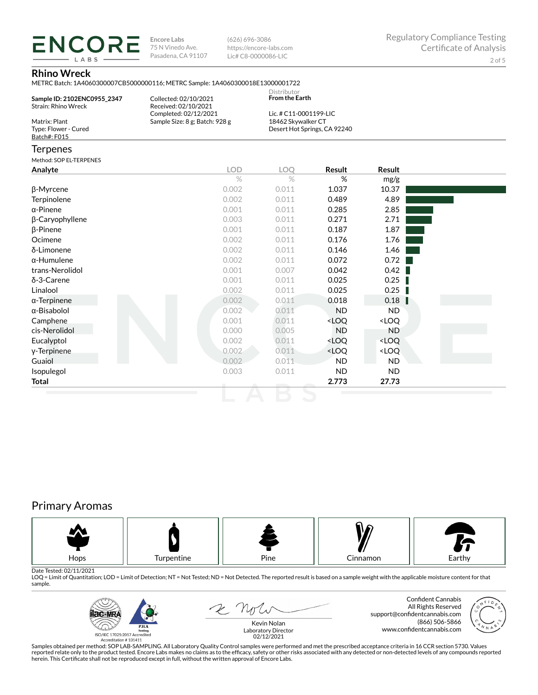**ENCORE Encore Labs** 75 N Vinedo Ave. Pasadena, CA 91107

(626) 696-3086 https://encore-labs.com Lic# C8-0000086-LIC

## **Rhino Wreck**

**LARS** 

METRC Batch: 1A4060300007CB5000000116; METRC Sample: 1A4060300018E13000001722

|                                                           | METRC Batch: 1A4060300007CB5000000116; METRC Sample: 1A4060300018E13000001722 |                                      |                              |               |  |
|-----------------------------------------------------------|-------------------------------------------------------------------------------|--------------------------------------|------------------------------|---------------|--|
| Sample ID: 2102ENC0955 2347<br><b>Strain: Rhino Wreck</b> | Collected: 02/10/2021<br>Received: 02/10/2021                                 | Distributor<br><b>From the Earth</b> |                              |               |  |
|                                                           | Completed: 02/12/2021                                                         | Lic. # C11-0001199-LIC               |                              |               |  |
| Matrix: Plant                                             | Sample Size: 8 g; Batch: 928 g                                                | 18462 Skywalker CT                   |                              |               |  |
| Type: Flower - Cured<br>Batch#: F015                      |                                                                               |                                      | Desert Hot Springs, CA 92240 |               |  |
| <b>Terpenes</b>                                           |                                                                               |                                      |                              |               |  |
| Method: SOP EL-TERPENES                                   |                                                                               |                                      |                              |               |  |
| Analyte                                                   | <b>LOD</b>                                                                    | LOQ                                  | Result                       | <b>Result</b> |  |
|                                                           | $\%$                                                                          | $\%$                                 | %                            | mg/g          |  |
| β-Myrcene                                                 | 0.002                                                                         | 0.011                                | 1.037                        | 10.37         |  |
| Terpinolene                                               | 0.002                                                                         | 0.011                                | 0.489                        | 4.89          |  |
| $\alpha$ -Pinene                                          | 0.001                                                                         | 0.011                                | 0.285                        | 2.85          |  |
| β-Caryophyllene                                           | 0.003                                                                         | 0.011                                | 0.271                        | 2.71          |  |
| $\beta$ -Pinene                                           | 0.001                                                                         | 0.011                                | 0.187                        | 1.87          |  |
| Ocimene                                                   | 0.002                                                                         | 0.011                                | 0.176                        | 1.76          |  |
| δ-Limonene                                                | 0.002                                                                         | 0.011                                | 0.146                        | 1.46          |  |
| $\alpha$ -Humulene                                        | 0.002                                                                         | 0.011                                | 0.072                        | 0.72          |  |
| trans-Nerolidol                                           | 0.001                                                                         | 0.007                                | 0.042                        | 0.42          |  |
| $\delta$ -3-Carene                                        | 0.001                                                                         | 0.011                                | 0.025                        | 0.25          |  |

Linalool 0.002 0.011 0.025 0.25 α-Terpinene 0.002 0.011 0.018 0.18 α-Bisabolol 0.002 0.011 ND ND Camphene <LOQ <LOQ <LOQ cis-Nerolidol 0.000 0.005 ND ND Eucalyptol 0.002 0.011 <LOQ <LOQ γ-Terpinene 0.002 0.011 <LOQ <LOQ Guaiol 0.002 0.011 ND ND Isopulegol 0.003 0.011 ND ND **Total 2.773 27.73**

# Primary Aromas



Date Tested: 02/11/2021<br>LOQ = Limit of Quantitation; LOD = Limit of Detection; NT = Not Tested; ND = Not Detected. The reported result is based on a sample weight with the applicable moisture content for that sample.



2 Note

Confident Cannabis All Rights Reserved support@confidentcannabis.com (866) 506-5866 www.confidentcannabis.com



Kevin Nolan Laboratory Director 02/12/2021

Samples obtained per method: SOP LAB-SAMPLING. All Laboratory Quality Control samples were performed and met the prescribed acceptance criteria in 16 CCR section 5730. Values reported relate only to the product tested. Encore Labs makes no claims as to the efficacy, safety or other risks associated with any detected or non-detected levels of any compounds reported<br>herein. This Certificate shall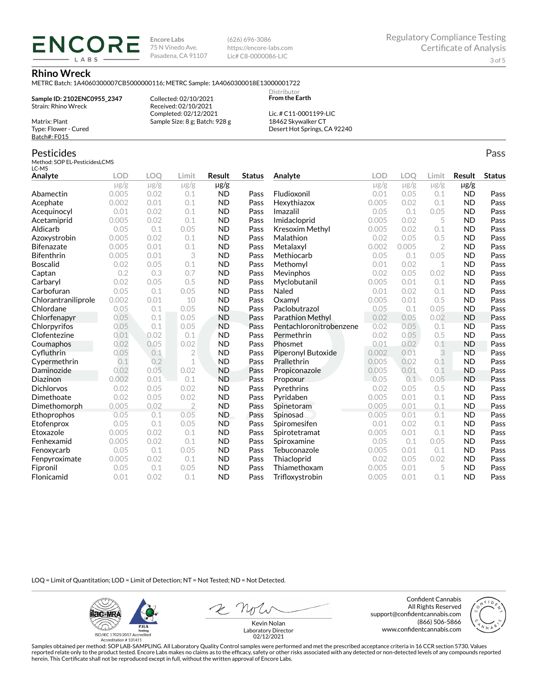**Encore Labs** 75 N Vinedo Ave. Pasadena, CA 91107 (626) 696-3086 https://encore-labs.com Lic# C8-0000086-LIC

> Distributor **From the Earth**

#### **Rhino Wreck**

Matrix: Plant Type: Flower - Cured Batch#: F015

Pesticides

METRC Batch: 1A4060300007CB5000000116; METRC Sample: 1A4060300018E13000001722

**Sample ID: 2102ENC0955\_2347** Strain: Rhino Wreck

**ENCORE IARS** 

> Received: 02/10/2021 Completed: 02/12/2021 Sample Size: 8 g; Batch: 928 g

Collected: 02/10/2021

Lic. # C11-0001199-LIC 18462 Skywalker CT Desert Hot Springs, CA 92240

#### Method: SOP EL-PesticidesLCMS LC-MS **Analyte LOD LOQ Limit Result Status**  $\mu$ g/g  $\mu$ g/g  $\mu$ g/g  $\mu$ g/g Abamectin 0.005 0.02 0.1 ND Pass Acephate 0.002 0.01 0.1 ND Pass Acequinocyl 0.01 0.02 0.1 ND Pass Acetamiprid 0.005 0.02 0.1 ND Pass Aldicarb 0.05 0.1 0.05 ND Pass Azoxystrobin 0.005 0.02 0.1 ND Pass Bifenazate 0.005 0.01 0.1 ND Pass Bifenthrin 0.005 0.01 3 ND Pass Boscalid 0.02 0.05 0.1 ND Pass **Captan 12 0.2 0.3 0.7 ND Pass Carbaryl 0.02 0.05 0.5 ND Pass** Carbofuran 0.05 0.1 0.05 ND Pass Chlorantraniliprole 0.002 0.01 10 ND Pass Chlordane 0.05 0.1 0.05 ND Pass Chlorfenapyr 0.05 0.1 0.05 ND Pass Chlorpyrifos 0.05 0.1 0.05 ND Pass Clofentezine 0.01 0.02 0.1 ND Pass Coumaphos 0.02 0.05 0.02 ND Pass Cyfluthrin 0.05 0.1 2 ND Pass Cypermethrin 0.1 0.2 1 ND Pass Daminozide 0.02 0.05 0.02 ND Pass **Diazinon** 0.002 0.01 0.1 ND Pass Dichlorvos 0.02 0.05 0.02 ND Pass Dimethoate 0.02 0.05 0.02 ND Pass Dimethomorph 0.005 0.02 2 ND Pass Ethoprophos 0.05 0.1 0.05 ND Pass Etofenprox 0.05 0.1 0.05 ND Pass Etoxazole 0.005 0.02 0.1 ND Pass Fenhexamid 0.005 0.02 0.1 ND Pass Fenoxycarb 0.05 0.1 0.05 ND Pass Fenpyroximate 0.005 0.02 0.1 ND Pass Fipronil 0.05 0.1 0.05 ND Pass Flonicamid 0.01 0.02 0.1 ND Pass **Analyte LOD LOQ Limit Result Status**  $\mu$ g/g  $\mu$ g/g  $\mu$ g/g  $\mu$ g/g Fludioxonil 0.01 0.05 0.1 ND Pass Hexythiazox 0.005 0.02 0.1 ND Pass **Imazalil 11 0.05 0.1 0.05 ND Pass** Imidacloprid 0.005 0.02 5 ND Pass Kresoxim Methyl  $0.005$  0.02 0.1 ND Pass **Malathion** 0.02 0.05 0.5 **ND Pass** Metalaxyl 0.002 0.005 2 ND Pass Methiocarb 0.05 0.1 0.05 ND Pass **Methomyl** 0.01 0.02 1 **ND Pass** Mevinphos 0.02 0.05 0.02 ND Pass Myclobutanil 0.005 0.01 0.1 ND Pass **Naled 1200 0.01 0.02 0.1 ND Pass Oxamyl** 0.005 0.01 0.5 **ND Pass** Paclobutrazol 0.05 0.1 0.05 ND Pass Parathion Methyl 0.02 0.05 0.02 ND Pass Pentachloronitrobenzene 0.02 0.05 0.1 ND Pass Permethrin 0.02 0.05 0.5 ND Pass Phosmet 0.01 0.02 0.1 ND Pass Piperonyl Butoxide 0.002 0.01 3 ND Pass Prallethrin 0.005 0.02 0.1 ND Pass Propiconazole 0.005 0.01 0.1 ND Pass **Propoxur 1988 0.05 0.1 0.05 ND Pass Pyrethrins 0.02 0.05 0.5 ND Pass Pyridaben 1988 0.005 0.01 0.1 ND Pass Spinetoram 0.005 0.01 0.1 ND Pass** Spinosad 0.005 0.01 0.1 ND Pass Spiromesifen 0.01 0.02 0.1 ND Pass Spirotetramat 0.005 0.01 0.1 ND Pass Spiroxamine 0.05 0.1 0.05 ND Pass Tebuconazole 0.005 0.01 0.1 ND Pass Thiacloprid 0.02 0.05 0.02 ND Pass Thiamethoxam 0.005 0.01 5 ND Pass Trifloxystrobin 0.005 0.01 0.1 ND Pass

LOQ = Limit of Quantitation; LOD = Limit of Detection; NT = Not Tested; ND = Not Detected.

**ilac-MRA P.ILA** أيطيبك ISO/IEC 17025:2017 Ac

Accreditation #101411

2 Not

Confident Cannabis All Rights Reserved support@confidentcannabis.com (866) 506-5866 www.confidentcannabis.com



Kevin Nolan Laboratory Director 02/12/2021

Samples obtained per method: SOP LAB-SAMPLING. All Laboratory Quality Control samples were performed and met the prescribed acceptance criteria in 16 CCR section 5730. Values reported relate only to the product tested. Encore Labs makes no claims as to the efficacy, safety or other risks associated with any detected or non-detected levels of any compounds reported herein. This Certificate shall not be reproduced except in full, without the written approval of Encore Labs.

Pass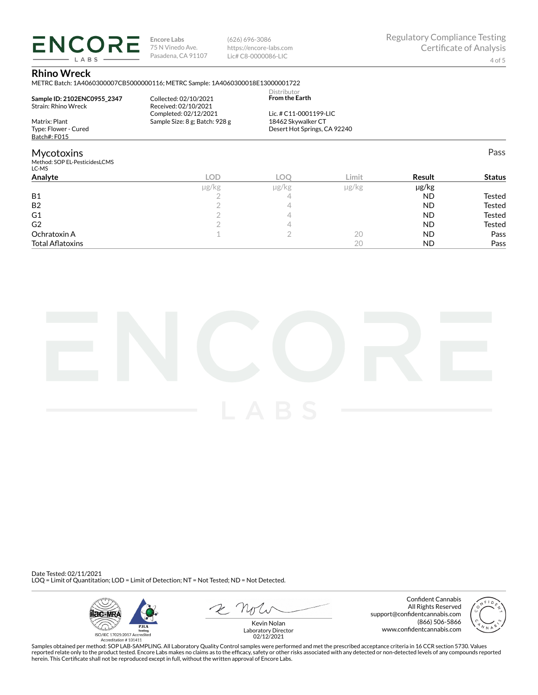**ENCORE Encore Labs** 75 N Vinedo Ave. Pasadena, CA 91107 LABS

(626) 696-3086 https://encore-labs.com Lic# C8-0000086-LIC

Pass

### **Rhino Wreck**

METRC Batch: 1A4060300007CB5000000116; METRC Sample: 1A4060300018E13000001722

| Sample ID: 2102ENC0955 2347<br>Strain: Rhino Wreck | Collected: 02/10/2021<br>Received: 02/10/2021<br>Completed: 02/12/2021 | Distributor<br><b>From the Earth</b><br>Lic. # C11-0001199-LIC |  |
|----------------------------------------------------|------------------------------------------------------------------------|----------------------------------------------------------------|--|
|                                                    |                                                                        |                                                                |  |
| Matrix: Plant                                      | Sample Size: 8 g; Batch: 928 g                                         | 18462 Skywalker CT                                             |  |
| Type: Flower - Cured                               |                                                                        | Desert Hot Springs, CA 92240                                   |  |
| Batch#: F015                                       |                                                                        |                                                                |  |
| Mycotoxins                                         |                                                                        |                                                                |  |
| Method: SOP EL-PesticidesLCMS<br>LC-MS             |                                                                        |                                                                |  |
|                                                    |                                                                        |                                                                |  |

| Analyte                 | LOD   | LOC   | Limit         | <b>Result</b> | <b>Status</b> |
|-------------------------|-------|-------|---------------|---------------|---------------|
|                         | µg/kg | µg/kg | $\mu$ g/ $kg$ | $\mu$ g/kg    |               |
| <b>B1</b>               |       |       |               | <b>ND</b>     | Tested        |
| B <sub>2</sub>          |       |       |               | <b>ND</b>     | Tested        |
| G <sub>1</sub>          |       |       |               | <b>ND</b>     | Tested        |
| G <sub>2</sub>          |       |       |               | <b>ND</b>     | Tested        |
| Ochratoxin A            |       |       | 20            | <b>ND</b>     | Pass          |
| <b>Total Aflatoxins</b> |       |       | 20            | <b>ND</b>     | Pass          |



Date Tested: 02/11/2021 LOQ = Limit of Quantitation; LOD = Limit of Detection; NT = Not Tested; ND = Not Detected.



Confident Cannabis All Rights Reserved support@confidentcannabis.com (866) 506-5866 www.confidentcannabis.com



Kevin Nolan Laboratory Director 02/12/2021

Samples obtained per method: SOP LAB-SAMPLING. All Laboratory Quality Control samples were performed and met the prescribed acceptance criteria in 16 CCR section 5730. Values reported relate only to the product tested. Encore Labs makes no claims as to the efficacy, safety or other risks associated with any detected or non-detected levels of any compounds reported<br>herein. This Certificate shall